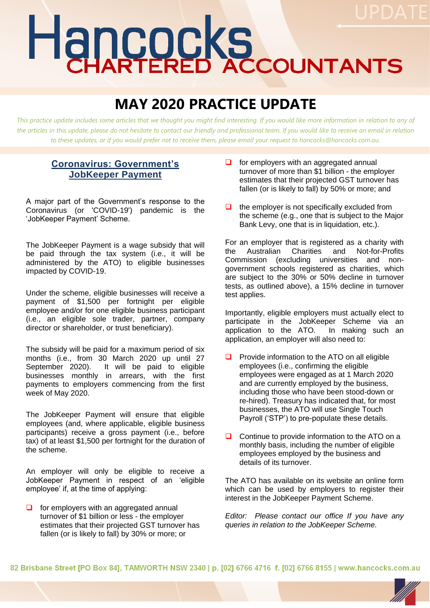# Hancocks

# **MAY 2020 PRACTICE UPDATE**

*This practice update includes some articles that we thought you might find interesting. If you would like more information in relation to any of*  the articles in this update, please do not hesitate to contact our friendly and professional team. If you would like to receive an email in relation *to these updates, or if you would prefer not to receive them, please email your request to hancocks@hancocks.com.au.* 

## **Coronavirus: Government's JobKeeper Payment**

A major part of the Government's response to the Coronavirus (or 'COVID-19') pandemic is the 'JobKeeper Payment' Scheme.

The JobKeeper Payment is a wage subsidy that will be paid through the tax system (i.e., it will be administered by the ATO) to eligible businesses impacted by COVID-19.

Under the scheme, eligible businesses will receive a payment of \$1,500 per fortnight per eligible employee and/or for one eligible business participant (i.e., an eligible sole trader, partner, company director or shareholder, or trust beneficiary).

The subsidy will be paid for a maximum period of six months (i.e., from 30 March 2020 up until 27 September 2020). It will be paid to eligible businesses monthly in arrears, with the first payments to employers commencing from the first week of May 2020.

The JobKeeper Payment will ensure that eligible employees (and, where applicable, eligible business participants) receive a gross payment (i.e., before tax) of at least \$1,500 per fortnight for the duration of the scheme.

An employer will only be eligible to receive a JobKeeper Payment in respect of an 'eligible employee' if, at the time of applying:

❑ for employers with an aggregated annual turnover of \$1 billion or less - the employer estimates that their projected GST turnover has fallen (or is likely to fall) by 30% or more; or

- $\Box$  for employers with an aggregated annual turnover of more than \$1 billion - the employer estimates that their projected GST turnover has fallen (or is likely to fall) by 50% or more; and
- $\Box$  the employer is not specifically excluded from the scheme (e.g., one that is subject to the Major Bank Levy, one that is in liquidation, etc.).

For an employer that is registered as a charity with the Australian Charities and Not-for-Profits Commission (excluding universities and nongovernment schools registered as charities, which are subject to the 30% or 50% decline in turnover tests, as outlined above), a 15% decline in turnover test applies.

Importantly, eligible employers must actually elect to participate in the JobKeeper Scheme via an application to the ATO. In making such an application, an employer will also need to:

- ❑ Provide information to the ATO on all eligible employees (i.e., confirming the eligible employees were engaged as at 1 March 2020 and are currently employed by the business, including those who have been stood-down or re-hired). Treasury has indicated that, for most businesses, the ATO will use Single Touch Payroll ('STP') to pre-populate these details.
- ❑ Continue to provide information to the ATO on a monthly basis, including the number of eligible employees employed by the business and details of its turnover.

The ATO has available on its website an online form which can be used by employers to register their interest in the JobKeeper Payment Scheme.

*Editor: Please contact our office If you have any queries in relation to the JobKeeper Scheme.*

82 Brisbane Street [PO Box 84], TAMWORTH NSW 2340 | p. [02] 6766 4716 f. [02] 6766 8155 | www.hancocks.com.au